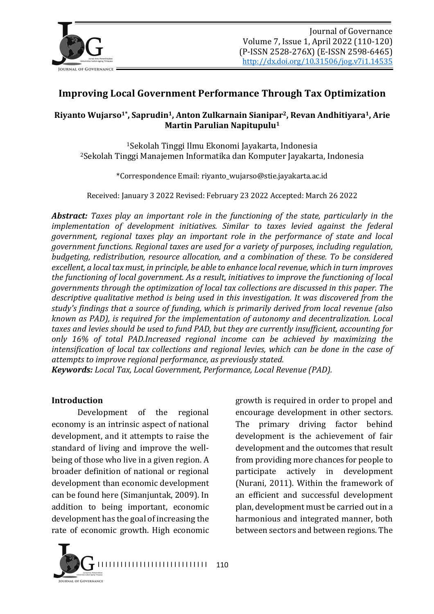

# **Improving Local Government Performance Through Tax Optimization**

### **Riyanto Wujarso<sup>1\*</sup>, Saprudin<sup>1</sup>, Anton Zulkarnain Sianipar<sup>2</sup>, Revan Andhitiyara<sup>1</sup>, Arie Martin Parulian Napitupulu<sup>1</sup>**

<sup>1</sup>Sekolah Tinggi Ilmu Ekonomi Jayakarta, Indonesia <sup>2</sup>Sekolah Tinggi Manajemen Informatika dan Komputer Jayakarta, Indonesia

\*Correspondence Email: riyanto\_wujarso@stie.jayakarta.ac.id

Received: January 3 2022 Revised: February 23 2022 Accepted: March 26 2022

*Abstract:* Taxes play an important role in the functioning of the state, particularly in the *implementation of development initiatives. Similar to taxes levied against the federal government, regional taxes play an important role in the performance of state and local government functions. Regional taxes are used for a variety of purposes, including regulation, budgeting, redistribution, resource allocation, and a combination of these. To be considered excellent, a local tax must, in principle, be able to enhance local revenue, which in turn improves the functioning of local government. As a result, initiatives to improve the functioning of local governments through the optimization of local tax collections are discussed in this paper. The* descriptive qualitative method is being used in this investigation. It was discovered from the study's findings that a source of funding, which is primarily derived from local revenue (also *known as PAD), is required for the implementation of autonomy and decentralization. Local* taxes and levies should be used to fund PAD, but they are currently insufficient, accounting for *only* 16% of total PAD.Increased regional income can be achieved by maximizing the *intensification of local tax collections and regional levies, which can be done in the case of attempts to improve regional performance, as previously stated.* 

*Keywords: Local Tax, Local Government, Performance, Local Revenue (PAD).* 

#### **Introduction**

Development of the regional economy is an intrinsic aspect of national development, and it attempts to raise the standard of living and improve the wellbeing of those who live in a given region. A broader definition of national or regional development than economic development can be found here (Simanjuntak, 2009). In addition to being important, economic development has the goal of increasing the rate of economic growth. High economic

I I I I I I I I I I I I I I I I I I I I I I I I I I I I I 110 ...<br>(al. of Governanci

growth is required in order to propel and encourage development in other sectors. The primary driving factor behind development is the achievement of fair development and the outcomes that result from providing more chances for people to participate actively in development (Nurani, 2011). Within the framework of an efficient and successful development plan, development must be carried out in a harmonious and integrated manner, both between sectors and between regions. The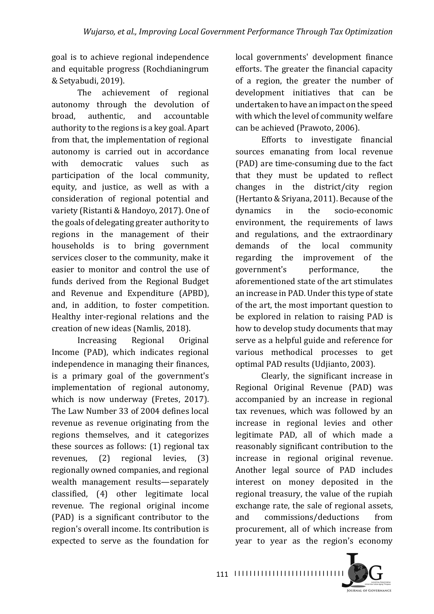goal is to achieve regional independence and equitable progress (Rochdianingrum & Setyabudi, 2019).

The achievement of regional autonomy through the devolution of broad, authentic, and accountable authority to the regions is a key goal. Apart from that, the implementation of regional autonomy is carried out in accordance with democratic values such as participation of the local community, equity, and justice, as well as with a consideration of regional potential and variety (Ristanti & Handoyo, 2017). One of the goals of delegating greater authority to regions in the management of their households is to bring government services closer to the community, make it easier to monitor and control the use of funds derived from the Regional Budget and Revenue and Expenditure (APBD), and, in addition, to foster competition. Healthy inter-regional relations and the creation of new ideas (Namlis, 2018).

Increasing Regional Original Income (PAD), which indicates regional independence in managing their finances, is a primary goal of the government's implementation of regional autonomy, which is now underway (Fretes, 2017). The Law Number 33 of 2004 defines local revenue as revenue originating from the regions themselves, and it categorizes these sources as follows:  $(1)$  regional tax revenues, (2) regional levies, (3) regionally owned companies, and regional wealth management results-separately classified, (4) other legitimate local revenue. The regional original income (PAD) is a significant contributor to the region's overall income. Its contribution is expected to serve as the foundation for

local governments' development finance efforts. The greater the financial capacity of a region, the greater the number of development initiatives that can be undertaken to have an impact on the speed with which the level of community welfare can be achieved (Prawoto, 2006).

Efforts to investigate financial sources emanating from local revenue (PAD) are time-consuming due to the fact that they must be updated to reflect  $changes$  in the district/city region (Hertanto & Sriyana, 2011). Because of the dynamics in the socio-economic environment, the requirements of laws and regulations, and the extraordinary demands of the local community regarding the improvement of the government's performance, the aforementioned state of the art stimulates an increase in PAD. Under this type of state of the art, the most important question to be explored in relation to raising PAD is how to develop study documents that may serve as a helpful guide and reference for various methodical processes to get optimal PAD results (Udjianto, 2003).

Clearly, the significant increase in Regional Original Revenue (PAD) was accompanied by an increase in regional tax revenues, which was followed by an increase in regional levies and other legitimate PAD, all of which made a reasonably significant contribution to the increase in regional original revenue. Another legal source of PAD includes interest on money deposited in the regional treasury, the value of the rupiah exchange rate, the sale of regional assets, and commissions/deductions from procurement, all of which increase from year to year as the region's economy

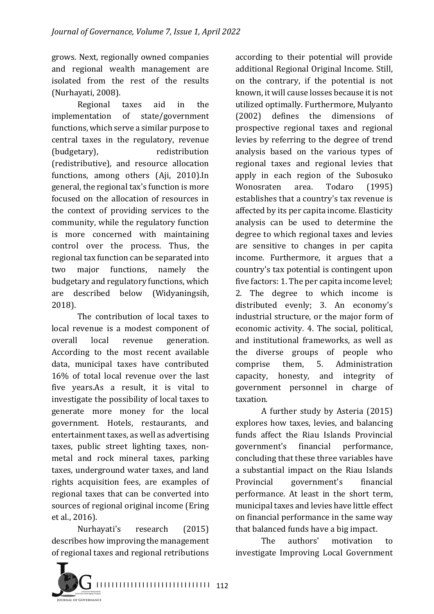grows. Next, regionally owned companies and regional wealth management are isolated from the rest of the results (Nurhayati, 2008).

Regional taxes aid in the implementation of state/government functions, which serve a similar purpose to central taxes in the regulatory, revenue (budgetary), redistribution (redistributive), and resource allocation functions, among others (Aji, 2010).In general, the regional tax's function is more focused on the allocation of resources in the context of providing services to the community, while the regulatory function is more concerned with maintaining control over the process. Thus, the regional tax function can be separated into two major functions, namely the budgetary and regulatory functions, which are described below (Widyaningsih, 2018).

The contribution of local taxes to local revenue is a modest component of overall local revenue generation. According to the most recent available data, municipal taxes have contributed 16% of total local revenue over the last five years.As a result, it is vital to investigate the possibility of local taxes to generate more money for the local government. Hotels, restaurants, and entertainment taxes, as well as advertising taxes, public street lighting taxes, nonmetal and rock mineral taxes, parking taxes, underground water taxes, and land rights acquisition fees, are examples of regional taxes that can be converted into sources of regional original income (Ering et al., 2016).

Nurhayati's research (2015) describes how improving the management of regional taxes and regional retributions



according to their potential will provide additional Regional Original Income. Still, on the contrary, if the potential is not known, it will cause losses because it is not utilized optimally. Furthermore, Mulyanto (2002) defines the dimensions of prospective regional taxes and regional levies by referring to the degree of trend analysis based on the various types of regional taxes and regional levies that apply in each region of the Subosuko Wonosraten area. Todaro (1995) establishes that a country's tax revenue is affected by its per capita income. Elasticity analysis can be used to determine the degree to which regional taxes and levies are sensitive to changes in per capita income. Furthermore, it argues that a country's tax potential is contingent upon five factors: 1. The per capita income level; 2. The degree to which income is distributed evenly; 3. An economy's industrial structure, or the major form of economic activity. 4. The social, political, and institutional frameworks, as well as the diverse groups of people who comprise them, 5. Administration capacity, honesty, and integrity of government personnel in charge of taxation.

A further study by Asteria (2015) explores how taxes, levies, and balancing funds affect the Riau Islands Provincial government's financial performance, concluding that these three variables have a substantial impact on the Riau Islands Provincial government's financial performance. At least in the short term, municipal taxes and levies have little effect on financial performance in the same way that balanced funds have a big impact.

The authors' motivation to investigate Improving Local Government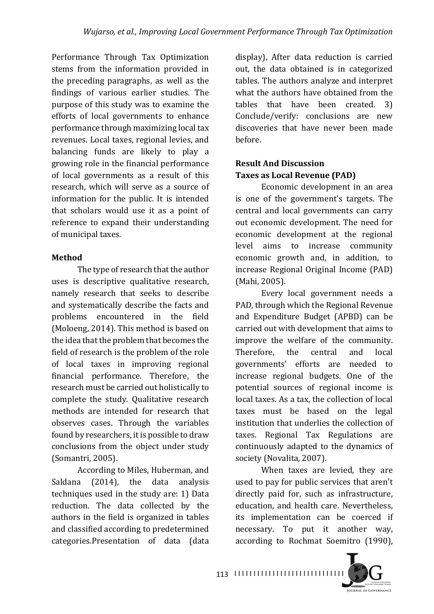Performance Through Tax Optimization stems from the information provided in the preceding paragraphs, as well as the findings of various earlier studies. The purpose of this study was to examine the efforts of local governments to enhance performance through maximizing local tax revenues. Local taxes, regional levies, and balancing funds are likely to play a growing role in the financial performance of local governments as a result of this research, which will serve as a source of information for the public. It is intended that scholars would use it as a point of reference to expand their understanding of municipal taxes.

### **Method**

The type of research that the author uses is descriptive qualitative research, namely research that seeks to describe and systematically describe the facts and problems encountered in the field (Moloeng, 2014). This method is based on the idea that the problem that becomes the field of research is the problem of the role of local taxes in improving regional financial performance. Therefore, the research must be carried out holistically to complete the study. Qualitative research methods are intended for research that observes cases. Through the variables found by researchers, it is possible to draw conclusions from the object under study (Somantri, 2005).

According to Miles, Huberman, and Saldana (2014), the data analysis techniques used in the study are: 1) Data reduction. The data collected by the authors in the field is organized in tables and classified according to predetermined categories.Presentation of data (data display), After data reduction is carried out, the data obtained is in categorized tables. The authors analyze and interpret what the authors have obtained from the tables that have been created. 3) Conclude/verify: conclusions are new discoveries that have never been made before.

## **Result And Discussion Taxes as Local Revenue (PAD)**

Economic development in an area is one of the government's targets. The central and local governments can carry out economic development. The need for economic development at the regional level aims to increase community economic growth and, in addition, to increase Regional Original Income (PAD) (Mahi, 2005).

Every local government needs a PAD, through which the Regional Revenue and Expenditure Budget (APBD) can be carried out with development that aims to improve the welfare of the community. Therefore, the central and local governments' efforts are needed to increase regional budgets. One of the potential sources of regional income is local taxes. As a tax, the collection of local taxes must be based on the legal institution that underlies the collection of taxes. Regional Tax Regulations are continuously adapted to the dynamics of society (Novalita, 2007).

When taxes are levied, they are used to pay for public services that aren't directly paid for, such as infrastructure, education, and health care. Nevertheless, its implementation can be coerced if necessary. To put it another way, according to Rochmat Soemitro (1990),

**IQUENAL OF GOVERNANCE**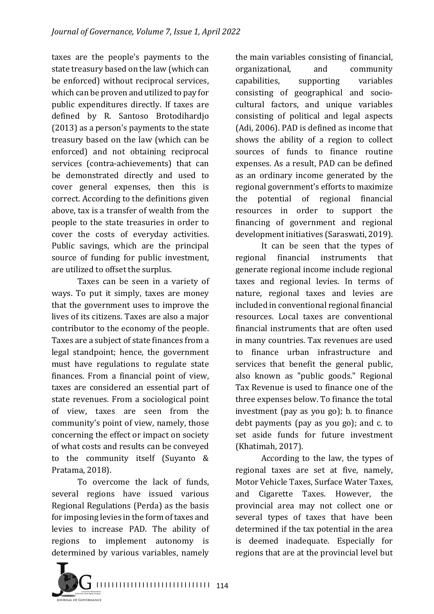taxes are the people's payments to the state treasury based on the law (which can be enforced) without reciprocal services, which can be proven and utilized to pay for public expenditures directly. If taxes are defined by R. Santoso Brotodihardjo  $(2013)$  as a person's payments to the state treasury based on the law (which can be enforced) and not obtaining reciprocal services (contra-achievements) that can be demonstrated directly and used to cover general expenses, then this is correct. According to the definitions given above, tax is a transfer of wealth from the people to the state treasuries in order to cover the costs of everyday activities. Public savings, which are the principal source of funding for public investment, are utilized to offset the surplus.

Taxes can be seen in a variety of ways. To put it simply, taxes are money that the government uses to improve the lives of its citizens. Taxes are also a major contributor to the economy of the people. Taxes are a subject of state finances from a legal standpoint; hence, the government must have regulations to regulate state finances. From a financial point of view, taxes are considered an essential part of state revenues. From a sociological point of view, taxes are seen from the community's point of view, namely, those concerning the effect or impact on society of what costs and results can be conveyed to the community itself (Suyanto  $&$ Pratama, 2018).

To overcome the lack of funds, several regions have issued various Regional Regulations (Perda) as the basis for imposing levies in the form of taxes and levies to increase PAD. The ability of regions to implement autonomy is determined by various variables, namely



the main variables consisting of financial, organizational, and community capabilities, supporting variables consisting of geographical and sociocultural factors, and unique variables consisting of political and legal aspects (Adi, 2006). PAD is defined as income that shows the ability of a region to collect sources of funds to finance routine expenses. As a result, PAD can be defined as an ordinary income generated by the regional government's efforts to maximize the potential of regional financial resources in order to support the financing of government and regional development initiatives (Saraswati, 2019).

It can be seen that the types of regional financial instruments that generate regional income include regional taxes and regional levies. In terms of nature, regional taxes and levies are included in conventional regional financial resources. Local taxes are conventional financial instruments that are often used in many countries. Tax revenues are used to finance urban infrastructure and services that benefit the general public, also known as "public goods." Regional Tax Revenue is used to finance one of the three expenses below. To finance the total investment (pay as you go); b. to finance debt payments (pay as you go); and  $c$ . to set aside funds for future investment (Khatimah, 2017).

According to the law, the types of regional taxes are set at five, namely, Motor Vehicle Taxes, Surface Water Taxes, and Cigarette Taxes. However, the provincial area may not collect one or several types of taxes that have been determined if the tax potential in the area is deemed inadequate. Especially for regions that are at the provincial level but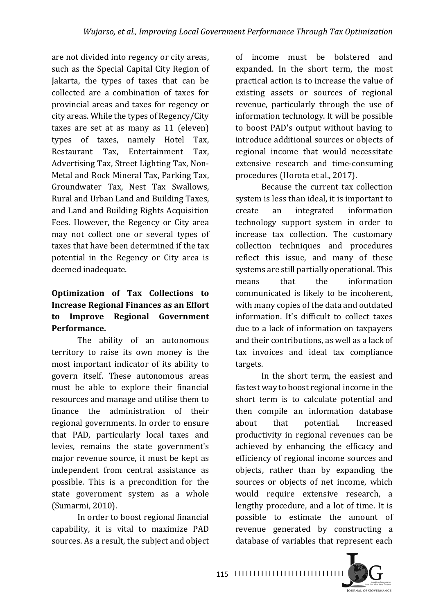are not divided into regency or city areas, such as the Special Capital City Region of Jakarta, the types of taxes that can be collected are a combination of taxes for provincial areas and taxes for regency or city areas. While the types of Regency/City taxes are set at as many as 11 (eleven) types of taxes, namely Hotel Tax, Restaurant Tax, Entertainment Tax, Advertising Tax, Street Lighting Tax, Non-Metal and Rock Mineral Tax, Parking Tax, Groundwater Tax, Nest Tax Swallows, Rural and Urban Land and Building Taxes, and Land and Building Rights Acquisition Fees. However, the Regency or City area may not collect one or several types of taxes that have been determined if the tax potential in the Regency or City area is deemed inadequate.

## **Optimization of Tax Collections to Increase Regional Finances as an Effort to Improve Regional Government Performance.**

The ability of an autonomous territory to raise its own money is the most important indicator of its ability to govern itself. These autonomous areas must be able to explore their financial resources and manage and utilise them to finance the administration of their regional governments. In order to ensure that PAD, particularly local taxes and levies, remains the state government's major revenue source, it must be kept as independent from central assistance as possible. This is a precondition for the state government system as a whole (Sumarmi, 2010).

In order to boost regional financial capability, it is vital to maximize PAD sources. As a result, the subject and object of income must be bolstered and expanded. In the short term, the most practical action is to increase the value of existing assets or sources of regional revenue, particularly through the use of information technology. It will be possible to boost PAD's output without having to introduce additional sources or objects of regional income that would necessitate extensive research and time-consuming procedures (Horota et al., 2017).

Because the current tax collection system is less than ideal, it is important to create an integrated information technology support system in order to increase tax collection. The customary collection techniques and procedures reflect this issue, and many of these systems are still partially operational. This means that the information communicated is likely to be incoherent, with many copies of the data and outdated information. It's difficult to collect taxes due to a lack of information on taxpayers and their contributions, as well as a lack of tax invoices and ideal tax compliance targets.

In the short term, the easiest and fastest way to boost regional income in the short term is to calculate potential and then compile an information database about that potential. Increased productivity in regional revenues can be achieved by enhancing the efficacy and efficiency of regional income sources and objects, rather than by expanding the sources or objects of net income, which would require extensive research, a lengthy procedure, and a lot of time. It is possible to estimate the amount of revenue generated by constructing a database of variables that represent each

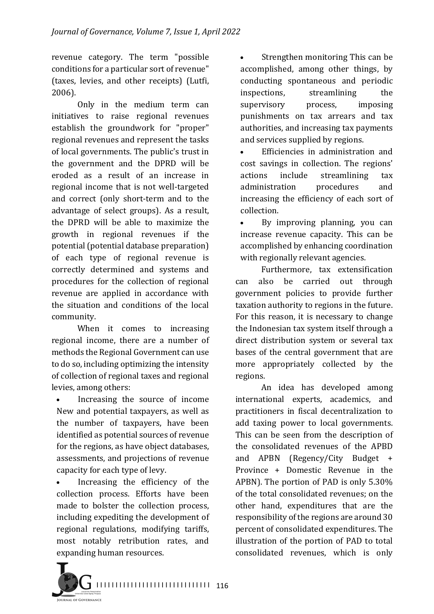revenue category. The term "possible conditions for a particular sort of revenue" (taxes, levies, and other receipts) (Lutfi, 2006).

Only in the medium term can initiatives to raise regional revenues establish the groundwork for "proper" regional revenues and represent the tasks of local governments. The public's trust in the government and the DPRD will be eroded as a result of an increase in regional income that is not well-targeted and correct (only short-term and to the advantage of select groups). As a result, the DPRD will be able to maximize the growth in regional revenues if the potential (potential database preparation) of each type of regional revenue is correctly determined and systems and procedures for the collection of regional revenue are applied in accordance with the situation and conditions of the local community.

When it comes to increasing regional income, there are a number of methods the Regional Government can use to do so, including optimizing the intensity of collection of regional taxes and regional levies, among others:

Increasing the source of income New and potential taxpayers, as well as the number of taxpayers, have been identified as potential sources of revenue for the regions, as have object databases, assessments, and projections of revenue capacity for each type of levy.

• Increasing the efficiency of the collection process. Efforts have been made to bolster the collection process, including expediting the development of regional regulations, modifying tariffs, most notably retribution rates, and expanding human resources.

• Strengthen monitoring This can be accomplished, among other things, by conducting spontaneous and periodic inspections, streamlining the supervisory process, imposing punishments on tax arrears and tax authorities, and increasing tax payments and services supplied by regions.

• Efficiencies in administration and cost savings in collection. The regions' actions include streamlining tax administration procedures and increasing the efficiency of each sort of collection.

By improving planning, you can increase revenue capacity. This can be accomplished by enhancing coordination with regionally relevant agencies.

Furthermore, tax extensification can also be carried out through government policies to provide further taxation authority to regions in the future. For this reason, it is necessary to change the Indonesian tax system itself through a direct distribution system or several tax bases of the central government that are more appropriately collected by the regions.

An idea has developed among international experts, academics, and practitioners in fiscal decentralization to add taxing power to local governments. This can be seen from the description of the consolidated revenues of the APBD and  $APBN$  (Regency/City Budget + Province + Domestic Revenue in the APBN). The portion of PAD is only  $5.30\%$ of the total consolidated revenues; on the other hand, expenditures that are the responsibility of the regions are around 30 percent of consolidated expenditures. The illustration of the portion of PAD to total consolidated revenues, which is only

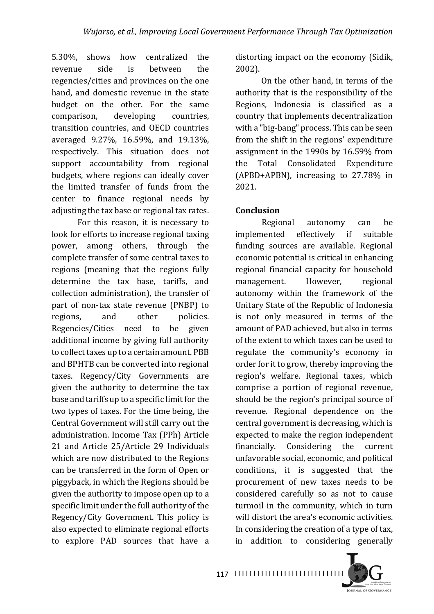5.30%, shows how centralized the revenue side is between the regencies/cities and provinces on the one hand, and domestic revenue in the state budget on the other. For the same comparison, developing countries, transition countries, and OECD countries averaged 9.27%, 16.59%, and 19.13%, respectively. This situation does not support accountability from regional budgets, where regions can ideally cover the limited transfer of funds from the center to finance regional needs by adjusting the tax base or regional tax rates.

For this reason, it is necessary to look for efforts to increase regional taxing power, among others, through the complete transfer of some central taxes to regions (meaning that the regions fully determine the tax base, tariffs, and collection administration), the transfer of part of non-tax state revenue (PNBP) to regions, and other policies. Regencies/Cities need to be given additional income by giving full authority to collect taxes up to a certain amount. PBB and BPHTB can be converted into regional taxes. Regency/City Governments are given the authority to determine the tax base and tariffs up to a specific limit for the two types of taxes. For the time being, the Central Government will still carry out the administration. Income Tax (PPh) Article 21 and Article 25/Article 29 Individuals which are now distributed to the Regions can be transferred in the form of Open or piggyback, in which the Regions should be given the authority to impose open up to a specific limit under the full authority of the Regency/City Government. This policy is also expected to eliminate regional efforts to explore PAD sources that have a

distorting impact on the economy (Sidik, 2002).

On the other hand, in terms of the authority that is the responsibility of the Regions, Indonesia is classified as a country that implements decentralization with a "big-bang" process. This can be seen from the shift in the regions' expenditure assignment in the 1990s by 16.59% from the Total Consolidated Expenditure  $(APBD+APBN)$ , increasing to 27.78% in 2021.

### **Conclusion**

Regional autonomy can be implemented effectively if suitable funding sources are available. Regional economic potential is critical in enhancing regional financial capacity for household management. However, regional autonomy within the framework of the Unitary State of the Republic of Indonesia is not only measured in terms of the amount of PAD achieved, but also in terms of the extent to which taxes can be used to regulate the community's economy in order for it to grow, thereby improving the region's welfare. Regional taxes, which comprise a portion of regional revenue, should be the region's principal source of revenue. Regional dependence on the central government is decreasing, which is expected to make the region independent financially. Considering the current unfavorable social, economic, and political conditions, it is suggested that the procurement of new taxes needs to be considered carefully so as not to cause turmoil in the community, which in turn will distort the area's economic activities. In considering the creation of a type of tax, in addition to considering generally

**IQUENAL OF GOVERNANCE**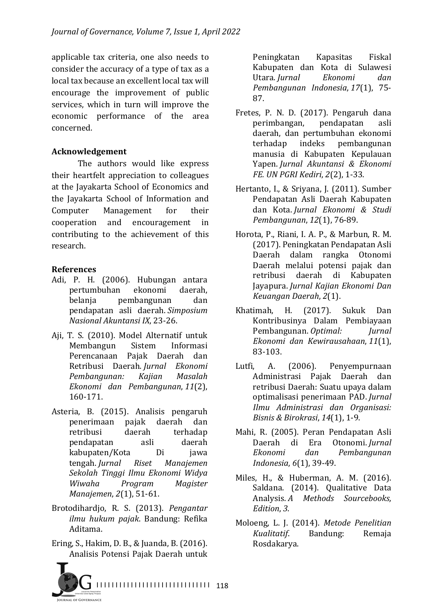applicable tax criteria, one also needs to consider the accuracy of a type of tax as a local tax because an excellent local tax will encourage the improvement of public services, which in turn will improve the economic performance of the area concerned.

### **Acknowledgement**

The authors would like express their heartfelt appreciation to colleagues at the Jayakarta School of Economics and the Jayakarta School of Information and Computer Management for their cooperation and encouragement in contributing to the achievement of this research.

#### **References**

- Adi, P. H. (2006). Hubungan antara pertumbuhan ekonomi daerah, belanja pembangunan dan pendapatan asli daerah. *Simposium Nasional Akuntansi IX*, 23-26.
- Aji, T. S. (2010). Model Alternatif untuk Membangun Sistem Informasi Perencanaan Pajak Daerah dan Retribusi Daerah. *Jurnal Ekonomi Pembangunan: Kajian Masalah Ekonomi dan Pembangunan*, *11*(2), 160-171.
- Asteria, B. (2015). Analisis pengaruh penerimaan pajak daerah dan retribusi daerah terhadap pendapatan asli daerah kabupaten/Kota Di jawa tengah. *Jurnal Riset Manajemen Sekolah Tinggi Ilmu Ekonomi Widya Wiwaha Program Magister Manajemen, 2(1), 51-61.*
- Brotodihardjo, R. S. (2013). *Pengantar ilmu hukum pajak*. Bandung: Refika Aditama.
- Ering, S., Hakim, D. B., & Juanda, B. (2016). Analisis Potensi Pajak Daerah untuk



Peningkatan Kapasitas Fiskal Kabupaten dan Kota di Sulawesi Utara. *Jurnal Ekonomi dan Pembangunan Indonesia*, *17*(1), 75- 87.

- Fretes, P. N. D. (2017). Pengaruh dana perimbangan, pendapatan asli daerah, dan pertumbuhan ekonomi terhadap indeks pembangunan manusia di Kabupaten Kepulauan Yapen. *Jurnal Akuntansi & Ekonomi FE. UN PGRI Kediri*, *2*(2), 1-33.
- Hertanto, I., & Sriyana, J. (2011). Sumber Pendapatan Asli Daerah Kabupaten dan Kota. *Jurnal Ekonomi & Studi Pembangunan*, *12*(1), 76-89.
- Horota, P., Riani, I. A. P., & Marbun, R. M. (2017). Peningkatan Pendapatan Asli Daerah dalam rangka Otonomi Daerah melalui potensi pajak dan retribusi daerah di Kabupaten Jayapura. *Jurnal Kajian Ekonomi Dan Keuangan Daerah*, *2*(1).
- Khatimah, H. (2017). Sukuk Dan Kontribusinya Dalam Pembiayaan Pembangunan. *Optimal: Jurnal Ekonomi dan Kewirausahaan*, *11*(1), 83-103.
- Lutfi, A. (2006). Penyempurnaan Administrasi Pajak Daerah dan retribusi Daerah: Suatu upaya dalam optimalisasi penerimaan PAD. *Jurnal Ilmu Administrasi dan Organisasi: Bisnis & Birokrasi*, *14*(1), 1-9.
- Mahi, R. (2005). Peran Pendapatan Asli Daerah di Era Otonomi. *Jurnal Ekonomi dan Pembangunan Indonesia*,  $6(1)$ , 39-49.
- Miles, H., & Huberman, A. M. (2016). Saldana. (2014). Qualitative Data Analysis. *A* Methods Sourcebooks, *Edition*, *3*.
- Moloeng, L. J. (2014). *Metode Penelitian Kualitatif*. Bandung: Remaja Rosdakarya.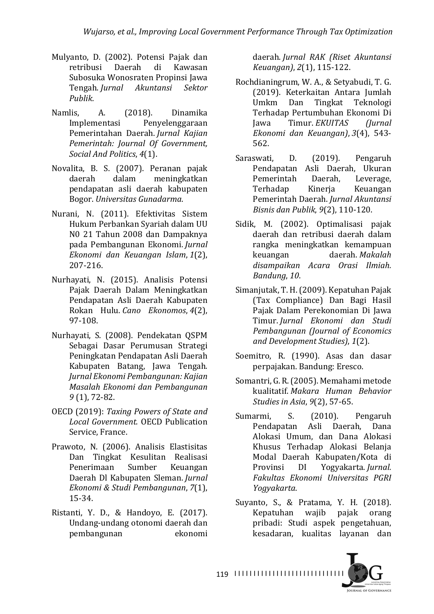- Mulyanto, D. (2002). Potensi Pajak dan retribusi Daerah di Kawasan Subosuka Wonosraten Propinsi Jawa Tengah. *Jurnal Akuntansi Sektor Publik*.
- Namlis. A. (2018). Dinamika Implementasi Penyelenggaraan Pemerintahan Daerah. *Jurnal Kajian Pemerintah: Journal Of Government, Social And Politics*, *4*(1).
- Novalita, B. S. (2007). Peranan pajak daerah dalam meningkatkan pendapatan asli daerah kabupaten Bogor. *Universitas Gunadarma*.
- Nurani, N. (2011). Efektivitas Sistem Hukum Perbankan Syariah dalam UU N0 21 Tahun 2008 dan Dampaknya pada Pembangunan Ekonomi. *Jurnal Ekonomi dan Keuangan Islam*, *1*(2), 207-216.
- Nurhayati, N. (2015). Analisis Potensi Pajak Daerah Dalam Meningkatkan Pendapatan Asli Daerah Kabupaten Rokan Hulu. *Cano Ekonomos*, *4*(2), 97-108.
- Nurhayati, S. (2008). Pendekatan QSPM Sebagai Dasar Perumusan Strategi Peningkatan Pendapatan Asli Daerah Kabupaten Batang, Jawa Tengah*. Jurnal Ekonomi Pembangunan: Kajian Masalah Ekonomi dan Pembangunan 9* (1), 72-82.
- OECD (2019): Taxing Powers of State and *Local Government.* OECD Publication Service, France.
- Prawoto, N. (2006). Analisis Elastisitas Dan Tingkat Kesulitan Realisasi Penerimaan Sumber Keuangan Daerah Dl Kabupaten Sleman. *Jurnal Ekonomi & Studi Pembangunan*, *7*(1), 15-34.
- Ristanti, Y. D., & Handoyo, E. (2017). Undang-undang otonomi daerah dan pembangunan ekonomi

daerah. *Jurnal RAK (Riset Akuntansi Keuangan)*, *2*(1), 115-122.

- Rochdianingrum, W. A., & Setyabudi, T. G. (2019). Keterkaitan Antara Jumlah Umkm Dan Tingkat Teknologi Terhadap Pertumbuhan Ekonomi Di Jawa Timur. *EKUITAS (Jurnal Ekonomi dan Keuangan)*, *3*(4), 543- 562.
- Saraswati, D. (2019). Pengaruh Pendapatan Asli Daerah, Ukuran Pemerintah Daerah, Leverage, Terhadap Kinerja Keuangan Pemerintah Daerah. *Jurnal Akuntansi Bisnis dan Publik*, *9*(2), 110-120.
- Sidik, M. (2002). Optimalisasi pajak daerah dan retribusi daerah dalam rangka meningkatkan kemampuan keuangan daerah. *Makalah disampaikan Acara Orasi Ilmiah. Bandung*, *10*.
- Simanjutak, T. H. (2009). Kepatuhan Pajak (Tax Compliance) Dan Bagi Hasil Pajak Dalam Perekonomian Di Jawa Timur. *Jurnal Ekonomi dan Studi Pembangunan (Journal of Economics and Development Studies)*, *1*(2).
- Soemitro, R. (1990). Asas dan dasar perpajakan. Bandung: Eresco.
- Somantri, G. R. (2005). Memahami metode kualitatif. *Makara Human Behavior Studies in Asia*,  $9(2)$ , 57-65.
- Sumarmi, S. (2010). Pengaruh Pendapatan Asli Daerah, Dana Alokasi Umum, dan Dana Alokasi Khusus Terhadap Alokasi Belanja Modal Daerah Kabupaten/Kota di Provinsi DI Yogyakarta. *Jurnal. Fakultas Ekonomi Universitas PGRI Yogyakarta*.
- Suyanto, S., & Pratama, Y. H. (2018). Kepatuhan wajib pajak orang pribadi: Studi aspek pengetahuan, kesadaran, kualitas layanan dan